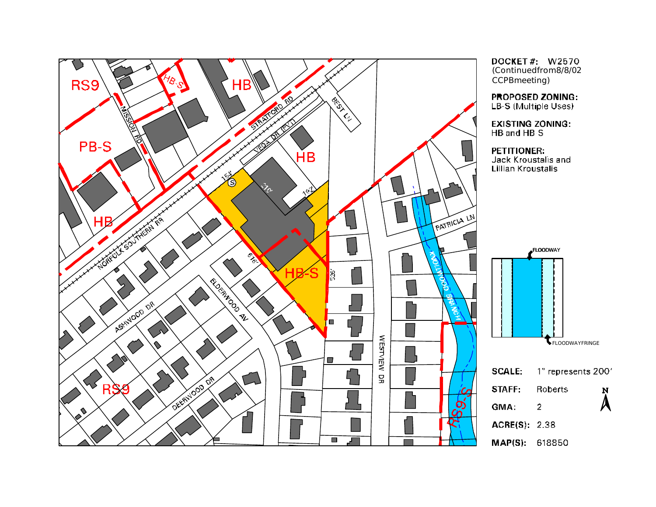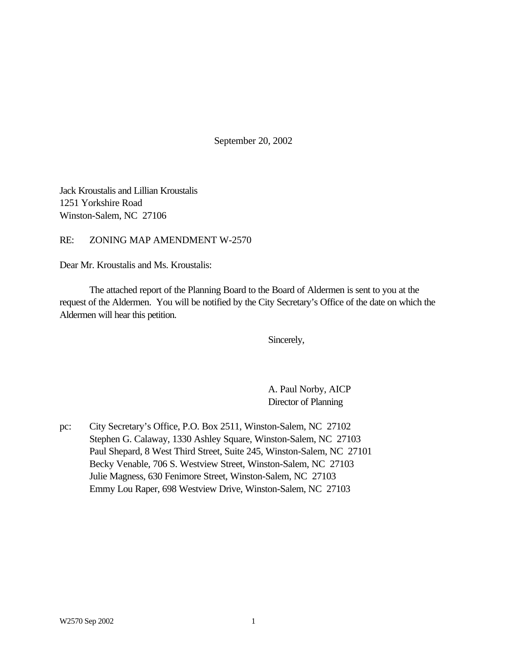September 20, 2002

Jack Kroustalis and Lillian Kroustalis 1251 Yorkshire Road Winston-Salem, NC 27106

RE: ZONING MAP AMENDMENT W-2570

Dear Mr. Kroustalis and Ms. Kroustalis:

The attached report of the Planning Board to the Board of Aldermen is sent to you at the request of the Aldermen. You will be notified by the City Secretary's Office of the date on which the Aldermen will hear this petition.

Sincerely,

A. Paul Norby, AICP Director of Planning

pc: City Secretary's Office, P.O. Box 2511, Winston-Salem, NC 27102 Stephen G. Calaway, 1330 Ashley Square, Winston-Salem, NC 27103 Paul Shepard, 8 West Third Street, Suite 245, Winston-Salem, NC 27101 Becky Venable, 706 S. Westview Street, Winston-Salem, NC 27103 Julie Magness, 630 Fenimore Street, Winston-Salem, NC 27103 Emmy Lou Raper, 698 Westview Drive, Winston-Salem, NC 27103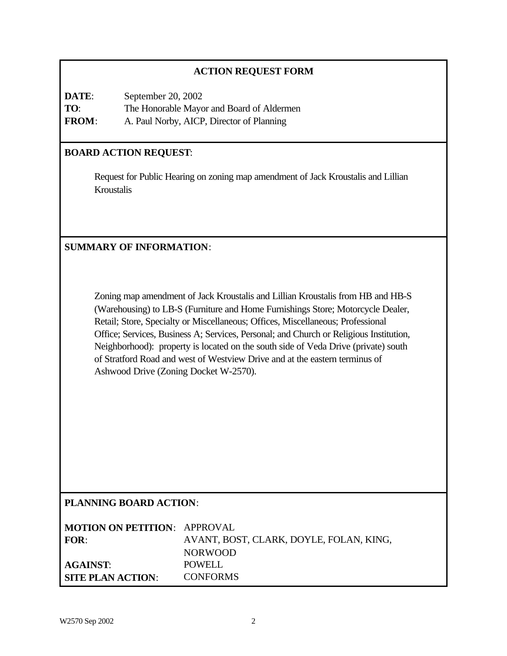## **ACTION REQUEST FORM**

**DATE**: September 20, 2002 **TO**: The Honorable Mayor and Board of Aldermen **FROM**: A. Paul Norby, AICP, Director of Planning

## **BOARD ACTION REQUEST**:

Request for Public Hearing on zoning map amendment of Jack Kroustalis and Lillian Kroustalis

## **SUMMARY OF INFORMATION**:

Zoning map amendment of Jack Kroustalis and Lillian Kroustalis from HB and HB-S (Warehousing) to LB-S (Furniture and Home Furnishings Store; Motorcycle Dealer, Retail; Store, Specialty or Miscellaneous; Offices, Miscellaneous; Professional Office; Services, Business A; Services, Personal; and Church or Religious Institution, Neighborhood): property is located on the south side of Veda Drive (private) south of Stratford Road and west of Westview Drive and at the eastern terminus of Ashwood Drive (Zoning Docket W-2570).

### **PLANNING BOARD ACTION**:

| <b>MOTION ON PETITION: APPROVAL</b> |                                         |
|-------------------------------------|-----------------------------------------|
| FOR:                                | AVANT, BOST, CLARK, DOYLE, FOLAN, KING, |
|                                     | <b>NORWOOD</b>                          |
| <b>AGAINST:</b>                     | POWELL                                  |
| SITE PLAN ACTION:                   | <b>CONFORMS</b>                         |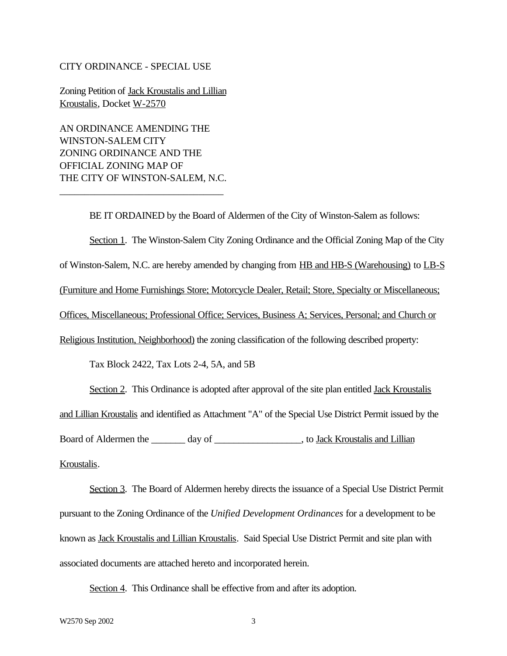#### CITY ORDINANCE - SPECIAL USE

Zoning Petition of Jack Kroustalis and Lillian Kroustalis, Docket W-2570

AN ORDINANCE AMENDING THE WINSTON-SALEM CITY ZONING ORDINANCE AND THE OFFICIAL ZONING MAP OF THE CITY OF WINSTON-SALEM, N.C.

\_\_\_\_\_\_\_\_\_\_\_\_\_\_\_\_\_\_\_\_\_\_\_\_\_\_\_\_\_\_\_\_\_

BE IT ORDAINED by the Board of Aldermen of the City of Winston-Salem as follows: Section 1. The Winston-Salem City Zoning Ordinance and the Official Zoning Map of the City of Winston-Salem, N.C. are hereby amended by changing from HB and HB-S (Warehousing) to LB-S (Furniture and Home Furnishings Store; Motorcycle Dealer, Retail; Store, Specialty or Miscellaneous; Offices, Miscellaneous; Professional Office; Services, Business A; Services, Personal; and Church or Religious Institution, Neighborhood) the zoning classification of the following described property: Tax Block 2422, Tax Lots 2-4, 5A, and 5B

Section 2. This Ordinance is adopted after approval of the site plan entitled Jack Kroustalis and Lillian Kroustalis and identified as Attachment "A" of the Special Use District Permit issued by the Board of Aldermen the \_\_\_\_\_\_\_ day of \_\_\_\_\_\_\_\_\_\_\_\_\_\_\_\_\_\_, to Jack Kroustalis and Lillian Kroustalis.

Section 3. The Board of Aldermen hereby directs the issuance of a Special Use District Permit pursuant to the Zoning Ordinance of the *Unified Development Ordinances* for a development to be known as Jack Kroustalis and Lillian Kroustalis. Said Special Use District Permit and site plan with associated documents are attached hereto and incorporated herein.

Section 4. This Ordinance shall be effective from and after its adoption.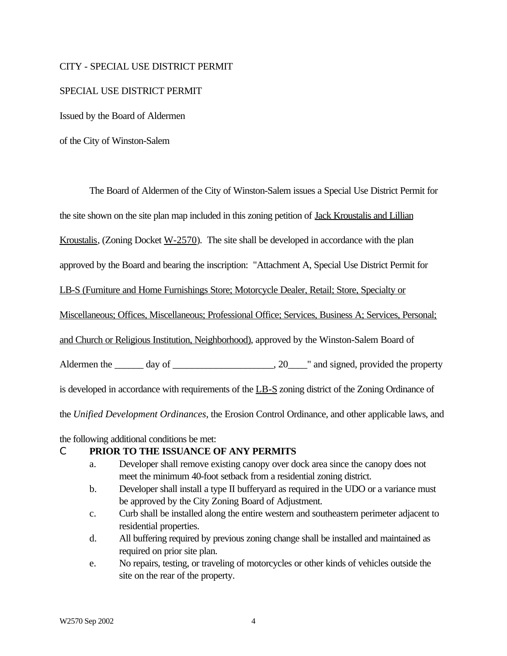#### CITY - SPECIAL USE DISTRICT PERMIT

#### SPECIAL USE DISTRICT PERMIT

Issued by the Board of Aldermen

of the City of Winston-Salem

The Board of Aldermen of the City of Winston-Salem issues a Special Use District Permit for

the site shown on the site plan map included in this zoning petition of Jack Kroustalis and Lillian

Kroustalis, (Zoning Docket  $W-2570$ ). The site shall be developed in accordance with the plan

approved by the Board and bearing the inscription: "Attachment A, Special Use District Permit for

LB-S (Furniture and Home Furnishings Store; Motorcycle Dealer, Retail; Store, Specialty or

Miscellaneous; Offices, Miscellaneous; Professional Office; Services, Business A; Services, Personal;

and Church or Religious Institution, Neighborhood), approved by the Winston-Salem Board of

Aldermen the  $\_\_\_\_$  day of  $\_\_\_\_\_\_\_$ . 20 $\_\_\_\_\$  and signed, provided the property

is developed in accordance with requirements of the LB-S zoning district of the Zoning Ordinance of

the *Unified Development Ordinances*, the Erosion Control Ordinance, and other applicable laws, and

the following additional conditions be met:

#### C **PRIOR TO THE ISSUANCE OF ANY PERMITS**

- a. Developer shall remove existing canopy over dock area since the canopy does not meet the minimum 40-foot setback from a residential zoning district.
- b. Developer shall install a type II bufferyard as required in the UDO or a variance must be approved by the City Zoning Board of Adjustment.
- c. Curb shall be installed along the entire western and southeastern perimeter adjacent to residential properties.
- d. All buffering required by previous zoning change shall be installed and maintained as required on prior site plan.
- e. No repairs, testing, or traveling of motorcycles or other kinds of vehicles outside the site on the rear of the property.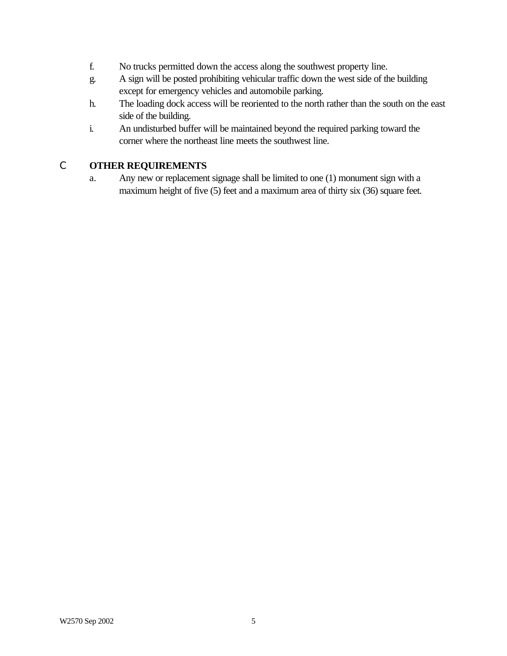- f. No trucks permitted down the access along the southwest property line.
- g. A sign will be posted prohibiting vehicular traffic down the west side of the building except for emergency vehicles and automobile parking.
- h. The loading dock access will be reoriented to the north rather than the south on the east side of the building.
- i. An undisturbed buffer will be maintained beyond the required parking toward the corner where the northeast line meets the southwest line.

# C **OTHER REQUIREMENTS**

a. Any new or replacement signage shall be limited to one (1) monument sign with a maximum height of five (5) feet and a maximum area of thirty six (36) square feet.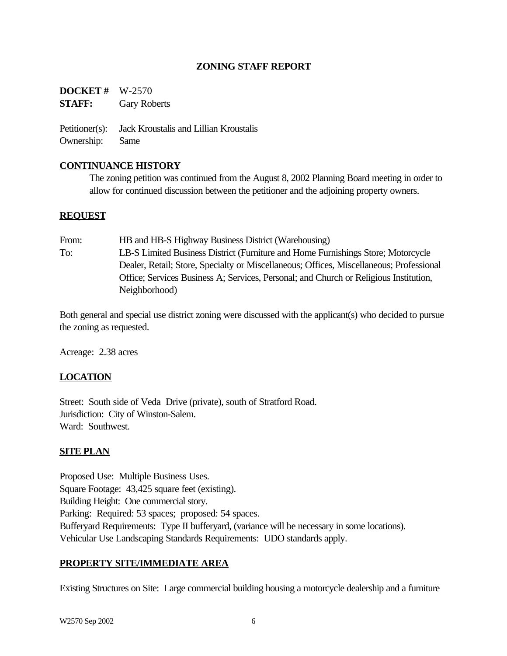### **ZONING STAFF REPORT**

**DOCKET #** W-2570 **STAFF:** Gary Roberts

Petitioner(s): Jack Kroustalis and Lillian Kroustalis Ownership: Same

### **CONTINUANCE HISTORY**

The zoning petition was continued from the August 8, 2002 Planning Board meeting in order to allow for continued discussion between the petitioner and the adjoining property owners.

#### **REQUEST**

From: **HB** and **HB-S** Highway Business District (Warehousing) To: LB-S Limited Business District (Furniture and Home Furnishings Store; Motorcycle Dealer, Retail; Store, Specialty or Miscellaneous; Offices, Miscellaneous; Professional Office; Services Business A; Services, Personal; and Church or Religious Institution, Neighborhood)

Both general and special use district zoning were discussed with the applicant(s) who decided to pursue the zoning as requested.

Acreage: 2.38 acres

## **LOCATION**

Street: South side of Veda Drive (private), south of Stratford Road. Jurisdiction: City of Winston-Salem. Ward: Southwest.

### **SITE PLAN**

Proposed Use: Multiple Business Uses. Square Footage: 43,425 square feet (existing). Building Height: One commercial story. Parking: Required: 53 spaces; proposed: 54 spaces. Bufferyard Requirements: Type II bufferyard, (variance will be necessary in some locations). Vehicular Use Landscaping Standards Requirements: UDO standards apply.

### **PROPERTY SITE/IMMEDIATE AREA**

Existing Structures on Site: Large commercial building housing a motorcycle dealership and a furniture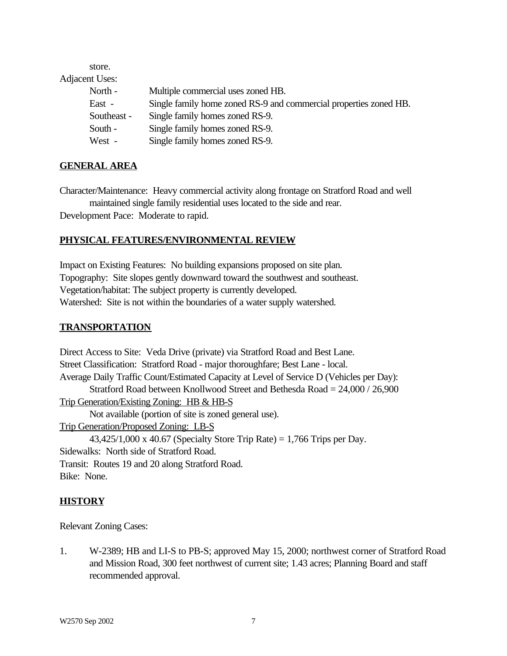store.

Adjacent Uses:

| North -     | Multiple commercial uses zoned HB.                                |
|-------------|-------------------------------------------------------------------|
| East -      | Single family home zoned RS-9 and commercial properties zoned HB. |
| Southeast - | Single family homes zoned RS-9.                                   |
| South -     | Single family homes zoned RS-9.                                   |
| West -      | Single family homes zoned RS-9.                                   |

### **GENERAL AREA**

Character/Maintenance: Heavy commercial activity along frontage on Stratford Road and well maintained single family residential uses located to the side and rear.

Development Pace: Moderate to rapid.

# **PHYSICAL FEATURES/ENVIRONMENTAL REVIEW**

Impact on Existing Features: No building expansions proposed on site plan. Topography: Site slopes gently downward toward the southwest and southeast. Vegetation/habitat: The subject property is currently developed. Watershed: Site is not within the boundaries of a water supply watershed.

### **TRANSPORTATION**

Direct Access to Site: Veda Drive (private) via Stratford Road and Best Lane. Street Classification: Stratford Road - major thoroughfare; Best Lane - local. Average Daily Traffic Count/Estimated Capacity at Level of Service D (Vehicles per Day): Stratford Road between Knollwood Street and Bethesda Road = 24,000 / 26,900 Trip Generation/Existing Zoning: HB & HB-S Not available (portion of site is zoned general use). Trip Generation/Proposed Zoning: LB-S 43,425/1,000 x 40.67 (Specialty Store Trip Rate) = 1,766 Trips per Day. Sidewalks: North side of Stratford Road. Transit: Routes 19 and 20 along Stratford Road. Bike: None.

## **HISTORY**

Relevant Zoning Cases:

1. W-2389; HB and LI-S to PB-S; approved May 15, 2000; northwest corner of Stratford Road and Mission Road, 300 feet northwest of current site; 1.43 acres; Planning Board and staff recommended approval.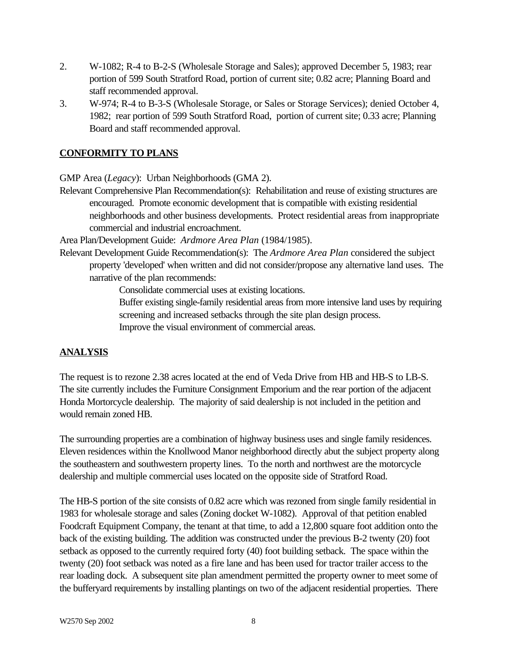- 2. W-1082; R-4 to B-2-S (Wholesale Storage and Sales); approved December 5, 1983; rear portion of 599 South Stratford Road, portion of current site; 0.82 acre; Planning Board and staff recommended approval.
- 3. W-974; R-4 to B-3-S (Wholesale Storage, or Sales or Storage Services); denied October 4, 1982; rear portion of 599 South Stratford Road, portion of current site; 0.33 acre; Planning Board and staff recommended approval.

## **CONFORMITY TO PLANS**

GMP Area (*Legacy*): Urban Neighborhoods (GMA 2).

Relevant Comprehensive Plan Recommendation(s): Rehabilitation and reuse of existing structures are encouraged. Promote economic development that is compatible with existing residential neighborhoods and other business developments. Protect residential areas from inappropriate commercial and industrial encroachment.

Area Plan/Development Guide: *Ardmore Area Plan* (1984/1985).

Relevant Development Guide Recommendation(s): The *Ardmore Area Plan* considered the subject property 'developed' when written and did not consider/propose any alternative land uses. The narrative of the plan recommends:

Consolidate commercial uses at existing locations.

Buffer existing single-family residential areas from more intensive land uses by requiring screening and increased setbacks through the site plan design process. Improve the visual environment of commercial areas.

# **ANALYSIS**

The request is to rezone 2.38 acres located at the end of Veda Drive from HB and HB-S to LB-S. The site currently includes the Furniture Consignment Emporium and the rear portion of the adjacent Honda Mortorcycle dealership. The majority of said dealership is not included in the petition and would remain zoned HB.

The surrounding properties are a combination of highway business uses and single family residences. Eleven residences within the Knollwood Manor neighborhood directly abut the subject property along the southeastern and southwestern property lines. To the north and northwest are the motorcycle dealership and multiple commercial uses located on the opposite side of Stratford Road.

The HB-S portion of the site consists of 0.82 acre which was rezoned from single family residential in 1983 for wholesale storage and sales (Zoning docket W-1082). Approval of that petition enabled Foodcraft Equipment Company, the tenant at that time, to add a 12,800 square foot addition onto the back of the existing building. The addition was constructed under the previous B-2 twenty (20) foot setback as opposed to the currently required forty (40) foot building setback. The space within the twenty (20) foot setback was noted as a fire lane and has been used for tractor trailer access to the rear loading dock. A subsequent site plan amendment permitted the property owner to meet some of the bufferyard requirements by installing plantings on two of the adjacent residential properties. There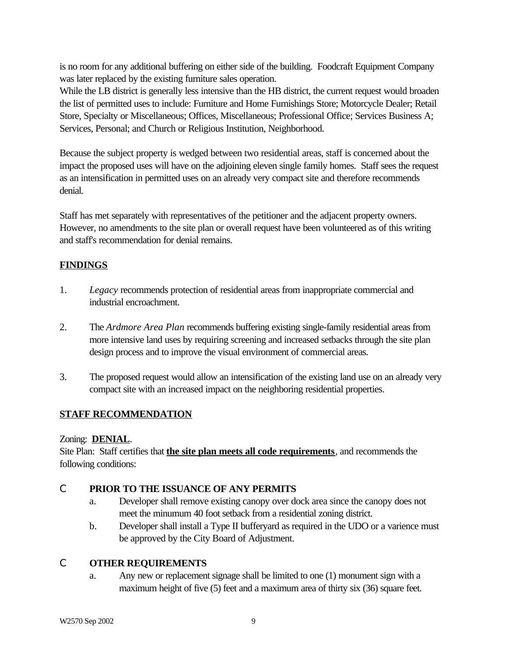is no room for any additional buffering on either side of the building. Foodcraft Equipment Company was later replaced by the existing furniture sales operation.

While the LB district is generally less intensive than the HB district, the current request would broaden the list of permitted uses to include: Furniture and Home Furnishings Store; Motorcycle Dealer; Retail Store, Specialty or Miscellaneous; Offices, Miscellaneous; Professional Office; Services Business A; Services, Personal; and Church or Religious Institution, Neighborhood.

Because the subject property is wedged between two residential areas, staff is concerned about the impact the proposed uses will have on the adjoining eleven single family homes. Staff sees the request as an intensification in permitted uses on an already very compact site and therefore recommends denial.

Staff has met separately with representatives of the petitioner and the adjacent property owners. However, no amendments to the site plan or overall request have been volunteered as of this writing and staff's recommendation for denial remains.

# **FINDINGS**

- 1. *Legacy* recommends protection of residential areas from inappropriate commercial and industrial encroachment.
- 2. The *Ardmore Area Plan* recommends buffering existing single-family residential areas from more intensive land uses by requiring screening and increased setbacks through the site plan design process and to improve the visual environment of commercial areas.
- 3. The proposed request would allow an intensification of the existing land use on an already very compact site with an increased impact on the neighboring residential properties.

# **STAFF RECOMMENDATION**

## Zoning: **DENIAL**.

Site Plan: Staff certifies that **the site plan meets all code requirements**, and recommends the following conditions:

## C **PRIOR TO THE ISSUANCE OF ANY PERMITS**

- a. Developer shall remove existing canopy over dock area since the canopy does not meet the minumum 40 foot setback from a residential zoning district.
- b. Developer shall install a Type II bufferyard as required in the UDO or a varience must be approved by the City Board of Adjustment.

## C **OTHER REQUIREMENTS**

a. Any new or replacement signage shall be limited to one (1) monument sign with a maximum height of five (5) feet and a maximum area of thirty six (36) square feet.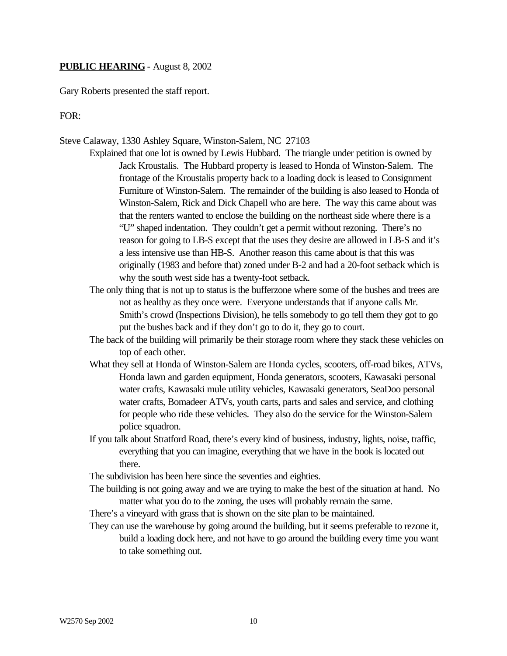#### **PUBLIC HEARING** - August 8, 2002

Gary Roberts presented the staff report.

FOR:

#### Steve Calaway, 1330 Ashley Square, Winston-Salem, NC 27103

- Explained that one lot is owned by Lewis Hubbard. The triangle under petition is owned by Jack Kroustalis. The Hubbard property is leased to Honda of Winston-Salem. The frontage of the Kroustalis property back to a loading dock is leased to Consignment Furniture of Winston-Salem. The remainder of the building is also leased to Honda of Winston-Salem, Rick and Dick Chapell who are here. The way this came about was that the renters wanted to enclose the building on the northeast side where there is a "U" shaped indentation. They couldn't get a permit without rezoning. There's no reason for going to LB-S except that the uses they desire are allowed in LB-S and it's a less intensive use than HB-S. Another reason this came about is that this was originally (1983 and before that) zoned under B-2 and had a 20-foot setback which is why the south west side has a twenty-foot setback.
	- The only thing that is not up to status is the bufferzone where some of the bushes and trees are not as healthy as they once were. Everyone understands that if anyone calls Mr. Smith's crowd (Inspections Division), he tells somebody to go tell them they got to go put the bushes back and if they don't go to do it, they go to court.
	- The back of the building will primarily be their storage room where they stack these vehicles on top of each other.
	- What they sell at Honda of Winston-Salem are Honda cycles, scooters, off-road bikes, ATVs, Honda lawn and garden equipment, Honda generators, scooters, Kawasaki personal water crafts, Kawasaki mule utility vehicles, Kawasaki generators, SeaDoo personal water crafts, Bomadeer ATVs, youth carts, parts and sales and service, and clothing for people who ride these vehicles. They also do the service for the Winston-Salem police squadron.
	- If you talk about Stratford Road, there's every kind of business, industry, lights, noise, traffic, everything that you can imagine, everything that we have in the book is located out there.

The subdivision has been here since the seventies and eighties.

- The building is not going away and we are trying to make the best of the situation at hand. No matter what you do to the zoning, the uses will probably remain the same.
- There's a vineyard with grass that is shown on the site plan to be maintained.
- They can use the warehouse by going around the building, but it seems preferable to rezone it, build a loading dock here, and not have to go around the building every time you want to take something out.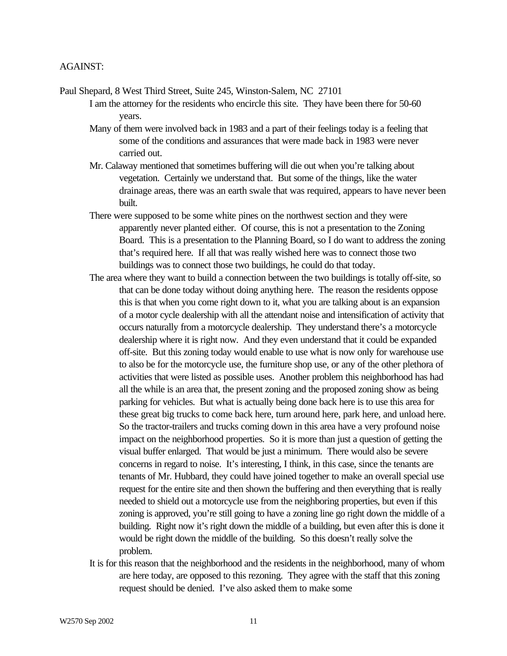Paul Shepard, 8 West Third Street, Suite 245, Winston-Salem, NC 27101

I am the attorney for the residents who encircle this site. They have been there for 50-60 years.

- Many of them were involved back in 1983 and a part of their feelings today is a feeling that some of the conditions and assurances that were made back in 1983 were never carried out.
- Mr. Calaway mentioned that sometimes buffering will die out when you're talking about vegetation. Certainly we understand that. But some of the things, like the water drainage areas, there was an earth swale that was required, appears to have never been built.
- There were supposed to be some white pines on the northwest section and they were apparently never planted either. Of course, this is not a presentation to the Zoning Board. This is a presentation to the Planning Board, so I do want to address the zoning that's required here. If all that was really wished here was to connect those two buildings was to connect those two buildings, he could do that today.
- The area where they want to build a connection between the two buildings is totally off-site, so that can be done today without doing anything here. The reason the residents oppose this is that when you come right down to it, what you are talking about is an expansion of a motor cycle dealership with all the attendant noise and intensification of activity that occurs naturally from a motorcycle dealership. They understand there's a motorcycle dealership where it is right now. And they even understand that it could be expanded off-site. But this zoning today would enable to use what is now only for warehouse use to also be for the motorcycle use, the furniture shop use, or any of the other plethora of activities that were listed as possible uses. Another problem this neighborhood has had all the while is an area that, the present zoning and the proposed zoning show as being parking for vehicles. But what is actually being done back here is to use this area for these great big trucks to come back here, turn around here, park here, and unload here. So the tractor-trailers and trucks coming down in this area have a very profound noise impact on the neighborhood properties. So it is more than just a question of getting the visual buffer enlarged. That would be just a minimum. There would also be severe concerns in regard to noise. It's interesting, I think, in this case, since the tenants are tenants of Mr. Hubbard, they could have joined together to make an overall special use request for the entire site and then shown the buffering and then everything that is really needed to shield out a motorcycle use from the neighboring properties, but even if this zoning is approved, you're still going to have a zoning line go right down the middle of a building. Right now it's right down the middle of a building, but even after this is done it would be right down the middle of the building. So this doesn't really solve the problem.
- It is for this reason that the neighborhood and the residents in the neighborhood, many of whom are here today, are opposed to this rezoning. They agree with the staff that this zoning request should be denied. I've also asked them to make some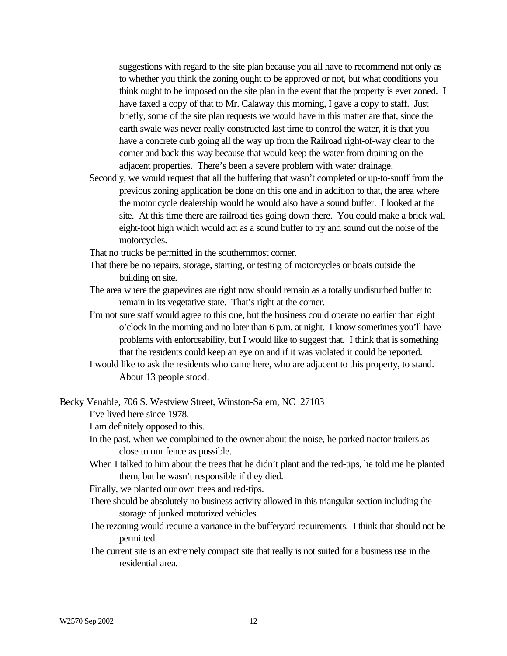suggestions with regard to the site plan because you all have to recommend not only as to whether you think the zoning ought to be approved or not, but what conditions you think ought to be imposed on the site plan in the event that the property is ever zoned. I have faxed a copy of that to Mr. Calaway this morning, I gave a copy to staff. Just briefly, some of the site plan requests we would have in this matter are that, since the earth swale was never really constructed last time to control the water, it is that you have a concrete curb going all the way up from the Railroad right-of-way clear to the corner and back this way because that would keep the water from draining on the adjacent properties. There's been a severe problem with water drainage.

Secondly, we would request that all the buffering that wasn't completed or up-to-snuff from the previous zoning application be done on this one and in addition to that, the area where the motor cycle dealership would be would also have a sound buffer. I looked at the site. At this time there are railroad ties going down there. You could make a brick wall eight-foot high which would act as a sound buffer to try and sound out the noise of the motorcycles.

That no trucks be permitted in the southernmost corner.

- That there be no repairs, storage, starting, or testing of motorcycles or boats outside the building on site.
- The area where the grapevines are right now should remain as a totally undisturbed buffer to remain in its vegetative state. That's right at the corner.
- I'm not sure staff would agree to this one, but the business could operate no earlier than eight o'clock in the morning and no later than 6 p.m. at night. I know sometimes you'll have problems with enforceability, but I would like to suggest that. I think that is something that the residents could keep an eye on and if it was violated it could be reported.
- I would like to ask the residents who came here, who are adjacent to this property, to stand. About 13 people stood.
- Becky Venable, 706 S. Westview Street, Winston-Salem, NC 27103

I've lived here since 1978.

I am definitely opposed to this.

- In the past, when we complained to the owner about the noise, he parked tractor trailers as close to our fence as possible.
- When I talked to him about the trees that he didn't plant and the red-tips, he told me he planted them, but he wasn't responsible if they died.

Finally, we planted our own trees and red-tips.

- There should be absolutely no business activity allowed in this triangular section including the storage of junked motorized vehicles.
- The rezoning would require a variance in the bufferyard requirements. I think that should not be permitted.
- The current site is an extremely compact site that really is not suited for a business use in the residential area.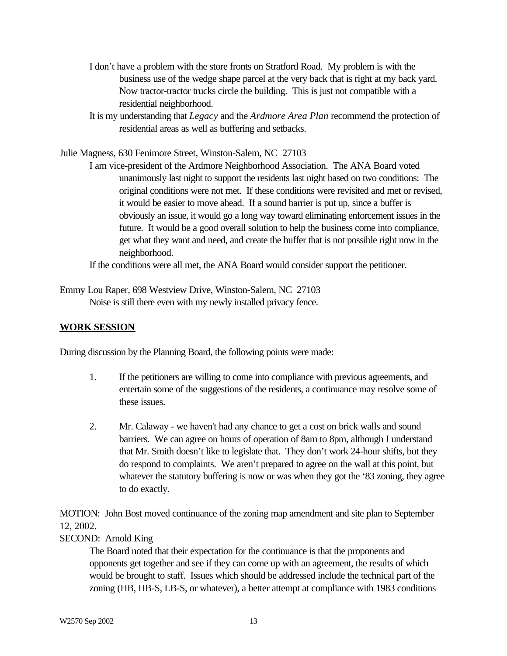- I don't have a problem with the store fronts on Stratford Road. My problem is with the business use of the wedge shape parcel at the very back that is right at my back yard. Now tractor-tractor trucks circle the building. This is just not compatible with a residential neighborhood.
- It is my understanding that *Legacy* and the *Ardmore Area Plan* recommend the protection of residential areas as well as buffering and setbacks.

Julie Magness, 630 Fenimore Street, Winston-Salem, NC 27103

I am vice-president of the Ardmore Neighborhood Association. The ANA Board voted unanimously last night to support the residents last night based on two conditions: The original conditions were not met. If these conditions were revisited and met or revised, it would be easier to move ahead. If a sound barrier is put up, since a buffer is obviously an issue, it would go a long way toward eliminating enforcement issues in the future. It would be a good overall solution to help the business come into compliance, get what they want and need, and create the buffer that is not possible right now in the neighborhood.

If the conditions were all met, the ANA Board would consider support the petitioner.

Emmy Lou Raper, 698 Westview Drive, Winston-Salem, NC 27103 Noise is still there even with my newly installed privacy fence.

#### **WORK SESSION**

During discussion by the Planning Board, the following points were made:

- 1. If the petitioners are willing to come into compliance with previous agreements, and entertain some of the suggestions of the residents, a continuance may resolve some of these issues.
- 2. Mr. Calaway we haven't had any chance to get a cost on brick walls and sound barriers. We can agree on hours of operation of 8am to 8pm, although I understand that Mr. Smith doesn't like to legislate that. They don't work 24-hour shifts, but they do respond to complaints. We aren't prepared to agree on the wall at this point, but whatever the statutory buffering is now or was when they got the '83 zoning, they agree to do exactly.

MOTION: John Bost moved continuance of the zoning map amendment and site plan to September 12, 2002.

### SECOND: Arnold King

The Board noted that their expectation for the continuance is that the proponents and opponents get together and see if they can come up with an agreement, the results of which would be brought to staff. Issues which should be addressed include the technical part of the zoning (HB, HB-S, LB-S, or whatever), a better attempt at compliance with 1983 conditions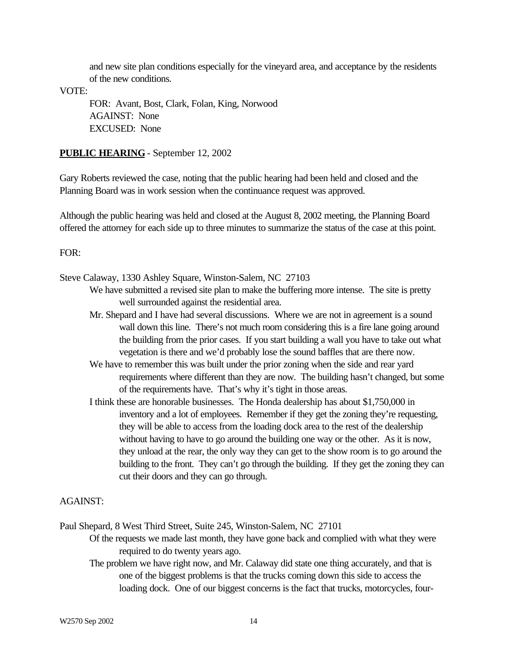and new site plan conditions especially for the vineyard area, and acceptance by the residents of the new conditions.

VOTE:

FOR: Avant, Bost, Clark, Folan, King, Norwood AGAINST: None EXCUSED: None

#### **PUBLIC HEARING** - September 12, 2002

Gary Roberts reviewed the case, noting that the public hearing had been held and closed and the Planning Board was in work session when the continuance request was approved.

Although the public hearing was held and closed at the August 8, 2002 meeting, the Planning Board offered the attorney for each side up to three minutes to summarize the status of the case at this point.

#### FOR:

Steve Calaway, 1330 Ashley Square, Winston-Salem, NC 27103

- We have submitted a revised site plan to make the buffering more intense. The site is pretty well surrounded against the residential area.
- Mr. Shepard and I have had several discussions. Where we are not in agreement is a sound wall down this line. There's not much room considering this is a fire lane going around the building from the prior cases. If you start building a wall you have to take out what vegetation is there and we'd probably lose the sound baffles that are there now.
- We have to remember this was built under the prior zoning when the side and rear yard requirements where different than they are now. The building hasn't changed, but some of the requirements have. That's why it's tight in those areas.
- I think these are honorable businesses. The Honda dealership has about \$1,750,000 in inventory and a lot of employees. Remember if they get the zoning they're requesting, they will be able to access from the loading dock area to the rest of the dealership without having to have to go around the building one way or the other. As it is now, they unload at the rear, the only way they can get to the show room is to go around the building to the front. They can't go through the building. If they get the zoning they can cut their doors and they can go through.

#### AGAINST:

Paul Shepard, 8 West Third Street, Suite 245, Winston-Salem, NC 27101

- Of the requests we made last month, they have gone back and complied with what they were required to do twenty years ago.
- The problem we have right now, and Mr. Calaway did state one thing accurately, and that is one of the biggest problems is that the trucks coming down this side to access the loading dock. One of our biggest concerns is the fact that trucks, motorcycles, four-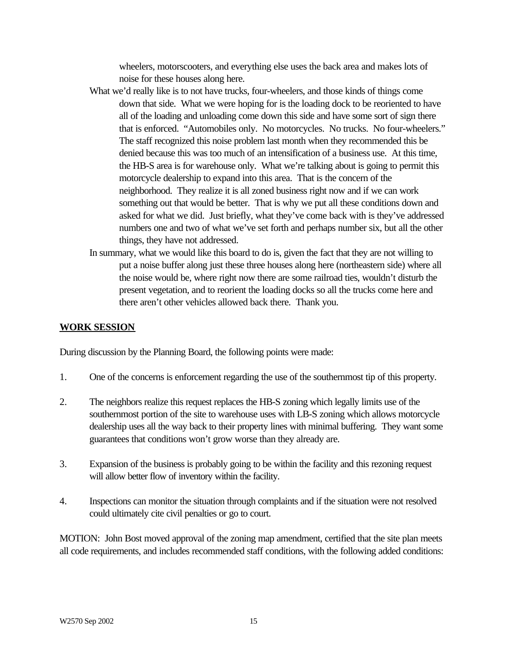wheelers, motorscooters, and everything else uses the back area and makes lots of noise for these houses along here.

- What we'd really like is to not have trucks, four-wheelers, and those kinds of things come down that side. What we were hoping for is the loading dock to be reoriented to have all of the loading and unloading come down this side and have some sort of sign there that is enforced. "Automobiles only. No motorcycles. No trucks. No four-wheelers." The staff recognized this noise problem last month when they recommended this be denied because this was too much of an intensification of a business use. At this time, the HB-S area is for warehouse only. What we're talking about is going to permit this motorcycle dealership to expand into this area. That is the concern of the neighborhood. They realize it is all zoned business right now and if we can work something out that would be better. That is why we put all these conditions down and asked for what we did. Just briefly, what they've come back with is they've addressed numbers one and two of what we've set forth and perhaps number six, but all the other things, they have not addressed.
- In summary, what we would like this board to do is, given the fact that they are not willing to put a noise buffer along just these three houses along here (northeastern side) where all the noise would be, where right now there are some railroad ties, wouldn't disturb the present vegetation, and to reorient the loading docks so all the trucks come here and there aren't other vehicles allowed back there. Thank you.

#### **WORK SESSION**

During discussion by the Planning Board, the following points were made:

- 1. One of the concerns is enforcement regarding the use of the southernmost tip of this property.
- 2. The neighbors realize this request replaces the HB-S zoning which legally limits use of the southernmost portion of the site to warehouse uses with LB-S zoning which allows motorcycle dealership uses all the way back to their property lines with minimal buffering. They want some guarantees that conditions won't grow worse than they already are.
- 3. Expansion of the business is probably going to be within the facility and this rezoning request will allow better flow of inventory within the facility.
- 4. Inspections can monitor the situation through complaints and if the situation were not resolved could ultimately cite civil penalties or go to court.

MOTION: John Bost moved approval of the zoning map amendment, certified that the site plan meets all code requirements, and includes recommended staff conditions, with the following added conditions: